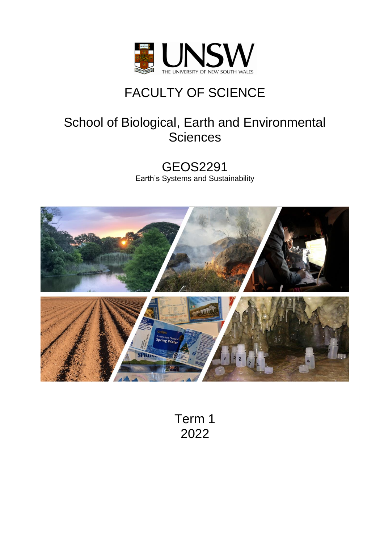

# FACULTY OF SCIENCE

## School of Biological, Earth and Environmental **Sciences**

GEOS2291 Earth's Systems and Sustainability



Term 1 2022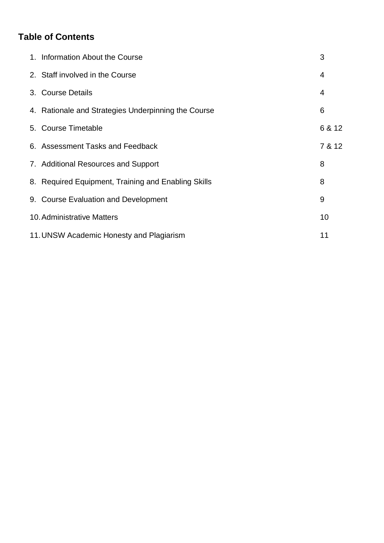## **Table of Contents**

| 1. Information About the Course                     | 3      |
|-----------------------------------------------------|--------|
| 2. Staff involved in the Course                     | 4      |
| 3. Course Details                                   | 4      |
| 4. Rationale and Strategies Underpinning the Course | 6      |
| 5. Course Timetable                                 | 6 & 12 |
| 6. Assessment Tasks and Feedback                    | 7 & 12 |
| 7. Additional Resources and Support                 | 8      |
| 8. Required Equipment, Training and Enabling Skills | 8      |
| 9. Course Evaluation and Development                | 9      |
| <b>10. Administrative Matters</b>                   | 10     |
| 11. UNSW Academic Honesty and Plagiarism            | 11     |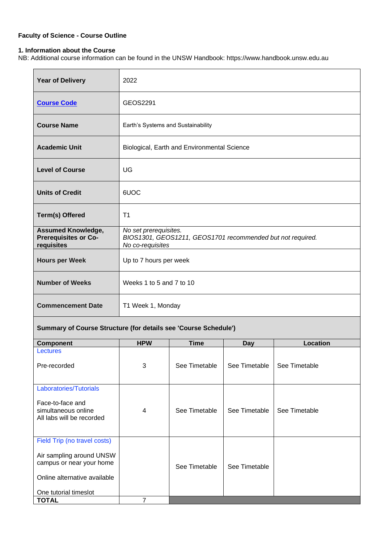## **Faculty of Science - Course Outline**

### **1. Information about the Course**

NB: Additional course information can be found in the UNSW Handbook: https://www.handbook.unsw.edu.au

| <b>Year of Delivery</b>                                                | 2022                                                                                                    |                                             |               |                 |
|------------------------------------------------------------------------|---------------------------------------------------------------------------------------------------------|---------------------------------------------|---------------|-----------------|
| <b>Course Code</b>                                                     | GEOS2291                                                                                                |                                             |               |                 |
| <b>Course Name</b>                                                     | Earth's Systems and Sustainability                                                                      |                                             |               |                 |
| <b>Academic Unit</b>                                                   |                                                                                                         | Biological, Earth and Environmental Science |               |                 |
| <b>Level of Course</b>                                                 | UG                                                                                                      |                                             |               |                 |
| <b>Units of Credit</b>                                                 | 6UOC                                                                                                    |                                             |               |                 |
| <b>Term(s) Offered</b>                                                 | T <sub>1</sub>                                                                                          |                                             |               |                 |
| <b>Assumed Knowledge,</b><br><b>Prerequisites or Co-</b><br>requisites | No set prerequisites.<br>BIOS1301, GEOS1211, GEOS1701 recommended but not required.<br>No co-requisites |                                             |               |                 |
| <b>Hours per Week</b>                                                  | Up to 7 hours per week                                                                                  |                                             |               |                 |
| <b>Number of Weeks</b>                                                 | Weeks 1 to 5 and 7 to 10                                                                                |                                             |               |                 |
| <b>Commencement Date</b>                                               | T1 Week 1, Monday                                                                                       |                                             |               |                 |
| Summary of Course Structure (for details see 'Course Schedule')        |                                                                                                         |                                             |               |                 |
| <b>Component</b>                                                       | <b>HPW</b>                                                                                              | <b>Time</b>                                 | <b>Day</b>    | <b>Location</b> |
| <b>Lectures</b>                                                        |                                                                                                         |                                             |               |                 |
| Pre-recorded                                                           | 3                                                                                                       | See Timetable                               | See Timetable | See Timetable   |
| <b>Laboratories/Tutorials</b>                                          |                                                                                                         |                                             |               |                 |
| Face-to-face and<br>simultaneous online<br>All labs will be recorded   | See Timetable<br>See Timetable<br>See Timetable<br>4                                                    |                                             |               |                 |
| Field Trip (no travel costs)                                           |                                                                                                         |                                             |               |                 |
| Air sampling around UNSW<br>campus or near your home                   |                                                                                                         | See Timetable                               | See Timetable |                 |
| Online alternative available                                           |                                                                                                         |                                             |               |                 |
| One tutorial timeslot                                                  |                                                                                                         |                                             |               |                 |
| <b>TOTAL</b>                                                           | $\overline{7}$                                                                                          |                                             |               |                 |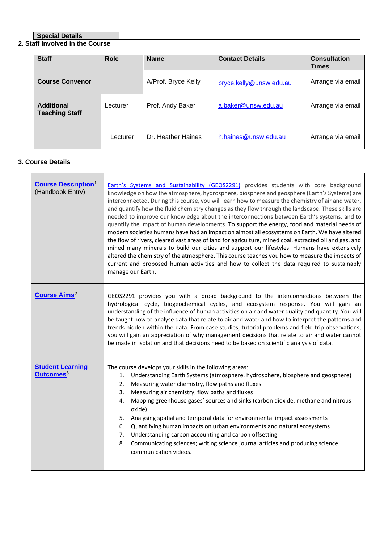## **Special Details**

#### **2. Staff Involved in the Course**

| <b>Staff</b>                               | <b>Role</b> | <b>Name</b>         | <b>Contact Details</b>  | <b>Consultation</b><br><b>Times</b> |
|--------------------------------------------|-------------|---------------------|-------------------------|-------------------------------------|
| <b>Course Convenor</b>                     |             | A/Prof. Bryce Kelly | bryce.kelly@unsw.edu.au | Arrange via email                   |
| <b>Additional</b><br><b>Teaching Staff</b> | Lecturer    | Prof. Andy Baker    | a.baker@unsw.edu.au     | Arrange via email                   |
|                                            | Lecturer    | Dr. Heather Haines  | h.haines@unsw.edu.au    | Arrange via email                   |

## **3. Course Details**

| <b>Course Description1</b><br>(Handbook Entry)   | Earth's Systems and Sustainability (GEOS2291) provides students with core background<br>knowledge on how the atmosphere, hydrosphere, biosphere and geosphere (Earth's Systems) are<br>interconnected. During this course, you will learn how to measure the chemistry of air and water,<br>and quantify how the fluid chemistry changes as they flow through the landscape. These skills are<br>needed to improve our knowledge about the interconnections between Earth's systems, and to<br>quantify the impact of human developments. To support the energy, food and material needs of<br>modern societies humans have had an impact on almost all ecosystems on Earth. We have altered<br>the flow of rivers, cleared vast areas of land for agriculture, mined coal, extracted oil and gas, and<br>mined many minerals to build our cities and support our lifestyles. Humans have extensively<br>altered the chemistry of the atmosphere. This course teaches you how to measure the impacts of<br>current and proposed human activities and how to collect the data required to sustainably<br>manage our Earth. |  |  |
|--------------------------------------------------|---------------------------------------------------------------------------------------------------------------------------------------------------------------------------------------------------------------------------------------------------------------------------------------------------------------------------------------------------------------------------------------------------------------------------------------------------------------------------------------------------------------------------------------------------------------------------------------------------------------------------------------------------------------------------------------------------------------------------------------------------------------------------------------------------------------------------------------------------------------------------------------------------------------------------------------------------------------------------------------------------------------------------------------------------------------------------------------------------------------------------|--|--|
| <b>Course Aims<sup>2</sup></b>                   | GEOS2291 provides you with a broad background to the interconnections between the<br>hydrological cycle, biogeochemical cycles, and ecosystem response. You will gain an<br>understanding of the influence of human activities on air and water quality and quantity. You will<br>be taught how to analyse data that relate to air and water and how to interpret the patterns and<br>trends hidden within the data. From case studies, tutorial problems and field trip observations,<br>you will gain an appreciation of why management decisions that relate to air and water cannot<br>be made in isolation and that decisions need to be based on scientific analysis of data.                                                                                                                                                                                                                                                                                                                                                                                                                                       |  |  |
| <b>Student Learning</b><br>Outcomes <sup>3</sup> | The course develops your skills in the following areas:<br>Understanding Earth Systems (atmosphere, hydrosphere, biosphere and geosphere)<br>1.<br>Measuring water chemistry, flow paths and fluxes<br>2.<br>Measuring air chemistry, flow paths and fluxes<br>3.<br>Mapping greenhouse gases' sources and sinks (carbon dioxide, methane and nitrous<br>4.<br>oxide)<br>Analysing spatial and temporal data for environmental impact assessments<br>5.<br>Quantifying human impacts on urban environments and natural ecosystems<br>6.<br>Understanding carbon accounting and carbon offsetting<br>7.<br>Communicating sciences; writing science journal articles and producing science<br>8.<br>communication videos.                                                                                                                                                                                                                                                                                                                                                                                                   |  |  |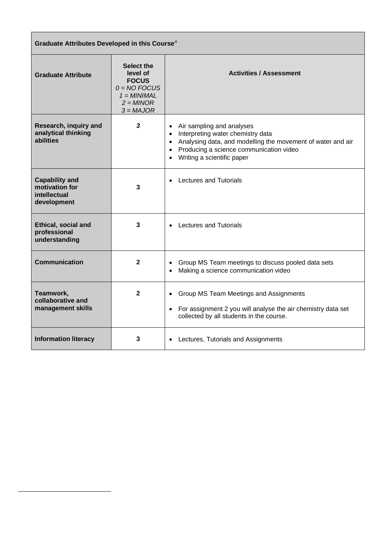| Graduate Attributes Developed in this Course <sup>4</sup>              |                                                                                                                |                                                                                                                                                                                                                                                                         |  |  |
|------------------------------------------------------------------------|----------------------------------------------------------------------------------------------------------------|-------------------------------------------------------------------------------------------------------------------------------------------------------------------------------------------------------------------------------------------------------------------------|--|--|
| <b>Graduate Attribute</b>                                              | <b>Select the</b><br>level of<br><b>FOCUS</b><br>$0 = NO$ FOCUS<br>$1 = MINIMAL$<br>$2 = MINOR$<br>$3 = MAJOR$ | <b>Activities / Assessment</b>                                                                                                                                                                                                                                          |  |  |
| Research, inquiry and<br>analytical thinking<br>abilities              | 3                                                                                                              | Air sampling and analyses<br>$\bullet$<br>Interpreting water chemistry data<br>$\bullet$<br>Analysing data, and modelling the movement of water and air<br>$\bullet$<br>Producing a science communication video<br>$\bullet$<br>Writing a scientific paper<br>$\bullet$ |  |  |
| <b>Capability and</b><br>motivation for<br>intellectual<br>development | 3                                                                                                              | <b>Lectures and Tutorials</b>                                                                                                                                                                                                                                           |  |  |
| <b>Ethical, social and</b><br>professional<br>understanding            | 3                                                                                                              | <b>Lectures and Tutorials</b>                                                                                                                                                                                                                                           |  |  |
| <b>Communication</b>                                                   | $\mathbf{2}$                                                                                                   | Group MS Team meetings to discuss pooled data sets<br>$\bullet$<br>Making a science communication video                                                                                                                                                                 |  |  |
| Teamwork,<br>collaborative and<br>management skills                    | $\mathbf 2$                                                                                                    | Group MS Team Meetings and Assignments<br>$\bullet$<br>For assignment 2 you will analyse the air chemistry data set<br>$\bullet$<br>collected by all students in the course.                                                                                            |  |  |
| <b>Information literacy</b>                                            | 3                                                                                                              | • Lectures, Tutorials and Assignments                                                                                                                                                                                                                                   |  |  |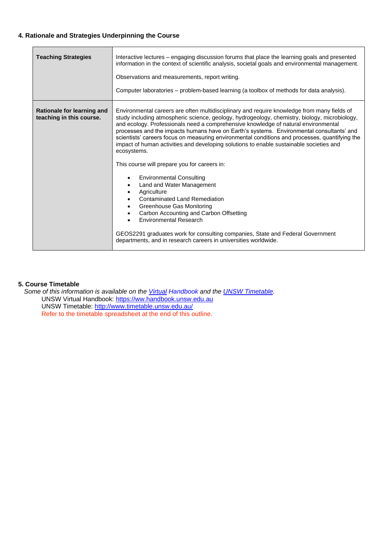## **4. Rationale and Strategies Underpinning the Course**

| <b>Teaching Strategies</b>                             | Interactive lectures – engaging discussion forums that place the learning goals and presented<br>information in the context of scientific analysis, societal goals and environmental management.<br>Observations and measurements, report writing.<br>Computer laboratories - problem-based learning (a toolbox of methods for data analysis).                                                                                                                                                                                                                                                                                                                                                                                                                                                                                                                                                                                                                                                                                               |  |  |
|--------------------------------------------------------|----------------------------------------------------------------------------------------------------------------------------------------------------------------------------------------------------------------------------------------------------------------------------------------------------------------------------------------------------------------------------------------------------------------------------------------------------------------------------------------------------------------------------------------------------------------------------------------------------------------------------------------------------------------------------------------------------------------------------------------------------------------------------------------------------------------------------------------------------------------------------------------------------------------------------------------------------------------------------------------------------------------------------------------------|--|--|
| Rationale for learning and<br>teaching in this course. | Environmental careers are often multidisciplinary and require knowledge from many fields of<br>study including atmospheric science, geology, hydrogeology, chemistry, biology, microbiology,<br>and ecology. Professionals need a comprehensive knowledge of natural environmental<br>processes and the impacts humans have on Earth's systems. Environmental consultants' and<br>scientists' careers focus on measuring environmental conditions and processes, quantifying the<br>impact of human activities and developing solutions to enable sustainable societies and<br>ecosystems.<br>This course will prepare you for careers in:<br><b>Environmental Consulting</b><br>Land and Water Management<br>$\bullet$<br>Agriculture<br><b>Contaminated Land Remediation</b><br>Greenhouse Gas Monitoring<br>Carbon Accounting and Carbon Offsetting<br><b>Environmental Research</b><br>GEOS2291 graduates work for consulting companies, State and Federal Government<br>departments, and in research careers in universities worldwide. |  |  |

#### **5. Course Timetable**

*Some of this information is available on the [Virtual](https://www.handbook.unsw.edu.au/) Handbook and the [UNSW Timetable.](http://www.timetable.unsw.edu.au/)*  UNSW Virtual Handbook: [https://ww.handbook.unsw.edu.au](https://www.handbook.unsw.edu.au/) UNSW Timetable:<http://www.timetable.unsw.edu.au/> Refer to the timetable spreadsheet at the end of this outline.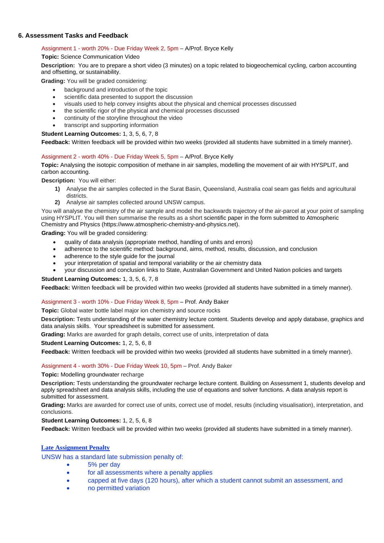#### **6. Assessment Tasks and Feedback**

#### Assignment 1 - worth 20% - Due Friday Week 2, 5pm – A/Prof. Bryce Kelly

#### **Topic:** Science Communication Video

**Description:** You are to prepare a short video (3 minutes) on a topic related to biogeochemical cycling, carbon accounting and offsetting, or sustainability.

**Grading:** You will be graded considering:

- background and introduction of the topic
- scientific data presented to support the discussion
- visuals used to help convey insights about the physical and chemical processes discussed
- the scientific rigor of the physical and chemical processes discussed
- continuity of the storyline throughout the video
- transcript and supporting information

#### **Student Learning Outcomes:** 1, 3, 5, 6, 7, 8

**Feedback:** Written feedback will be provided within two weeks (provided all students have submitted in a timely manner).

#### Assignment 2 - worth 40% - Due Friday Week 5, 5pm – A/Prof. Bryce Kelly

**Topic:** Analysing the isotopic composition of methane in air samples, modelling the movement of air with HYSPLIT, and carbon accounting.

**Description:** You will either:

- **1)** Analyse the air samples collected in the Surat Basin, Queensland, Australia coal seam gas fields and agricultural districts.
- **2)** Analyse air samples collected around UNSW campus.

You will analyse the chemistry of the air sample and model the backwards trajectory of the air-parcel at your point of sampling using HYSPLIT. You will then summarise the results as a short scientific paper in the form submitted to Atmospheric Chemistry and Physics (https://www.atmospheric-chemistry-and-physics.net).

**Grading:** You will be graded considering:

- quality of data analysis (appropriate method, handling of units and errors)
- adherence to the scientific method: background, aims, method, results, discussion, and conclusion
- adherence to the style guide for the journal
- your interpretation of spatial and temporal variability or the air chemistry data
- your discussion and conclusion links to State, Australian Government and United Nation policies and targets

#### **Student Learning Outcomes:** 1, 3, 5, 6, 7, 8

**Feedback:** Written feedback will be provided within two weeks (provided all students have submitted in a timely manner).

#### Assignment 3 - worth 10% - Due Friday Week 8, 5pm – Prof. Andy Baker

**Topic:** Global water bottle label major ion chemistry and source rocks

**Description:** Tests understanding of the water chemistry lecture content. Students develop and apply database, graphics and data analysis skills. Your spreadsheet is submitted for assessment.

**Grading:** Marks are awarded for graph details, correct use of units, interpretation of data

#### **Student Learning Outcomes:** 1, 2, 5, 6, 8

**Feedback:** Written feedback will be provided within two weeks (provided all students have submitted in a timely manner).

#### Assignment 4 - worth 30% - Due Friday Week 10, 5pm – Prof. Andy Baker

**Topic:** Modelling groundwater recharge

**Description:** Tests understanding the groundwater recharge lecture content. Building on Assessment 1, students develop and apply spreadsheet and data analysis skills, including the use of equations and solver functions. A data analysis report is submitted for assessment.

**Grading:** Marks are awarded for correct use of units, correct use of model, results (including visualisation), interpretation, and conclusions.

#### **Student Learning Outcomes:** 1, 2, 5, 6, 8

**Feedback:** Written feedback will be provided within two weeks (provided all students have submitted in a timely manner).

#### **Late Assignment Penalty**

UNSW has a standard late submission penalty of:

- 5% per day
- for all assessments where a penalty applies
- capped at five days (120 hours), after which a student cannot submit an assessment, and
- no permitted variation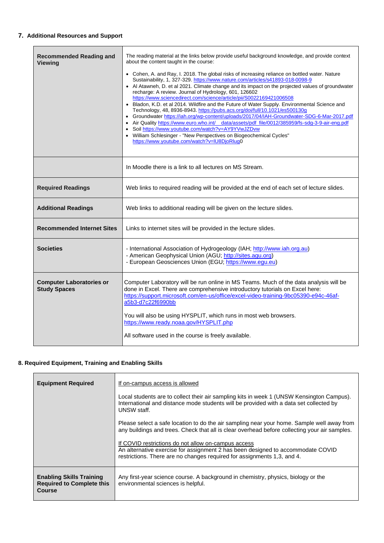## **7. Additional Resources and Support**

| The reading material at the links below provide useful background knowledge, and provide context<br>• Cohen, A. and Ray, I. 2018. The global risks of increasing reliance on bottled water. Nature<br>• Al Atawneh, D. et al 2021. Climate change and its impact on the projected values of groundwater<br>Bladon, K.D. et al 2014. Wildfire and the Future of Water Supply. Environmental Science and<br>• Groundwater https://iah.org/wp-content/uploads/2017/04/IAH-Groundwater-SDG-6-Mar-2017.pdf |
|-------------------------------------------------------------------------------------------------------------------------------------------------------------------------------------------------------------------------------------------------------------------------------------------------------------------------------------------------------------------------------------------------------------------------------------------------------------------------------------------------------|
| • Air Quality https://www.euro.who.int/ data/assets/pdf file/0012/385959/fs-sdq-3-9-air-enq.pdf                                                                                                                                                                                                                                                                                                                                                                                                       |
|                                                                                                                                                                                                                                                                                                                                                                                                                                                                                                       |
| Web links to required reading will be provided at the end of each set of lecture slides.                                                                                                                                                                                                                                                                                                                                                                                                              |
|                                                                                                                                                                                                                                                                                                                                                                                                                                                                                                       |
|                                                                                                                                                                                                                                                                                                                                                                                                                                                                                                       |
|                                                                                                                                                                                                                                                                                                                                                                                                                                                                                                       |
| Computer Laboratory will be run online in MS Teams. Much of the data analysis will be<br>https://support.microsoft.com/en-us/office/excel-video-training-9bc05390-e94c-46af-                                                                                                                                                                                                                                                                                                                          |
|                                                                                                                                                                                                                                                                                                                                                                                                                                                                                                       |

## **8. Required Equipment, Training and Enabling Skills**

| <b>Equipment Required</b>                                                     | If on-campus access is allowed                                                                                                                                                                                    |
|-------------------------------------------------------------------------------|-------------------------------------------------------------------------------------------------------------------------------------------------------------------------------------------------------------------|
|                                                                               | Local students are to collect their air sampling kits in week 1 (UNSW Kensington Campus).<br>International and distance mode students will be provided with a data set collected by<br>UNSW staff.                |
|                                                                               | Please select a safe location to do the air sampling near your home. Sample well away from<br>any buildings and trees. Check that all is clear overhead before collecting your air samples.                       |
|                                                                               | If COVID restrictions do not allow on-campus access<br>An alternative exercise for assignment 2 has been designed to accommodate COVID<br>restrictions. There are no changes required for assignments 1,3, and 4. |
| <b>Enabling Skills Training</b><br><b>Required to Complete this</b><br>Course | Any first-year science course. A background in chemistry, physics, biology or the<br>environmental sciences is helpful.                                                                                           |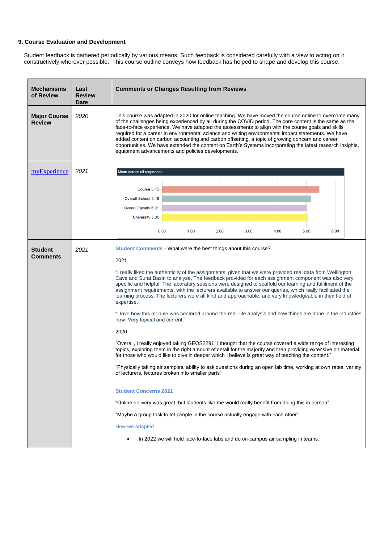#### **9. Course Evaluation and Development**

Student feedback is gathered periodically by various means. Such feedback is considered carefully with a view to acting on it constructively wherever possible. This course outline conveys how feedback has helped to shape and develop this course.

| <b>Mechanisms</b><br>of Review       | Last<br><b>Review</b><br>Date | <b>Comments or Changes Resulting from Reviews</b>                                                                                                                                                                                                                                                                                                                                                                                                                                                                                                                                                                                                                                                                                                                                                                                                                                                                                                                                                                                                                                                                                                                                                                                                                                                                                                                                                                                                                                                                                                                                                                                                   |  |  |  |
|--------------------------------------|-------------------------------|-----------------------------------------------------------------------------------------------------------------------------------------------------------------------------------------------------------------------------------------------------------------------------------------------------------------------------------------------------------------------------------------------------------------------------------------------------------------------------------------------------------------------------------------------------------------------------------------------------------------------------------------------------------------------------------------------------------------------------------------------------------------------------------------------------------------------------------------------------------------------------------------------------------------------------------------------------------------------------------------------------------------------------------------------------------------------------------------------------------------------------------------------------------------------------------------------------------------------------------------------------------------------------------------------------------------------------------------------------------------------------------------------------------------------------------------------------------------------------------------------------------------------------------------------------------------------------------------------------------------------------------------------------|--|--|--|
| <b>Major Course</b><br><b>Review</b> | 2020                          | This course was adapted in 2020 for online teaching. We have moved the course online to overcome many<br>of the challenges being experienced by all during the COVID period. The core content is the same as the<br>face-to-face experience. We have adapted the assessments to align with the course goals and skills<br>required for a career in environmental science and writing environmental impact statements. We have<br>added content on carbon accounting and carbon offsetting, a topic of growing concern and career<br>opportunities. We have extended the content on Earth's Systems incorporating the latest research insights,<br>equipment advancements and policies developments.                                                                                                                                                                                                                                                                                                                                                                                                                                                                                                                                                                                                                                                                                                                                                                                                                                                                                                                                                 |  |  |  |
| myExperience                         | 2021                          | Mean across all responses<br>Course 5.45<br>Overall School 5.16<br>Overall Faculty 5.01<br>University 5.06<br>1.00<br>2.00<br>3.00<br>4.00<br>5.00<br>0.00<br>6.00                                                                                                                                                                                                                                                                                                                                                                                                                                                                                                                                                                                                                                                                                                                                                                                                                                                                                                                                                                                                                                                                                                                                                                                                                                                                                                                                                                                                                                                                                  |  |  |  |
| <b>Student</b><br><b>Comments</b>    | 2021                          | Student Comments - What were the best things about this course?<br>2021<br>"I really liked the authenticity of the assignments, given that we were provided real data from Wellington<br>Cave and Surat Basin to analyse. The feedback provided for each assignment component was also very<br>specific and helpful. The laboratory sessions were designed to scaffold our learning and fulfilment of the<br>assignment requirements, with the lecturers available to answer our queries, which really facilitated the<br>learning process. The lecturers were all kind and approachable, and very knowledgeable in their field of<br>expertise.<br>"I love how this module was centered around the real-life analysis and how things are done in the industries<br>now. Very topical and current."<br>2020<br>"Overall, I really enjoyed taking GEOS2291. I thought that the course covered a wide range of interesting<br>topics, exploring them in the right amount of detail for the majority and then providing extensive on material<br>for those who would like to dive in deeper which I believe is great way of teaching the content."<br>"Physically taking air samples, ability to ask questions during an open lab time, working at own rates, variety<br>of lecturers, lectures broken into smaller parts"<br><b>Student Concerns 2021</b><br>"Online delivery was great, but students like me would really benefit from doing this in person"<br>"Maybe a group task to let people in the course actually engage with each other"<br>How we adapted<br>In 2022 we will hold face-to-face labs and do on-campus air sampling in teams. |  |  |  |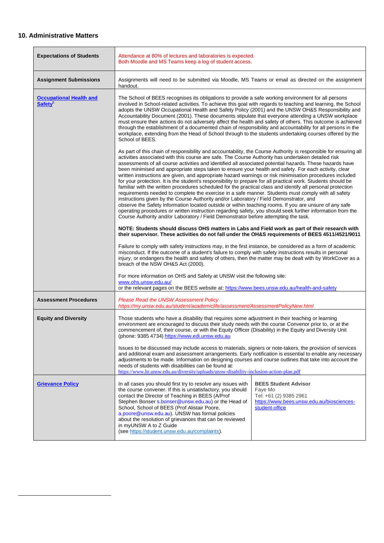## **10. Administrative Matters**

| <b>Expectations of Students</b>                              | Attendance at 80% of lectures and laboratories is expected.<br>Both Moodle and MS Teams keep a log of student access.                                                                                                                                                                                                                                                                                                                                                                                                                                                                                                                                                                                                                                                                                                                                                                                                                                                                                                                                                                                                                                                                                                                                                                                   |                                                                                                                                 |  |  |
|--------------------------------------------------------------|---------------------------------------------------------------------------------------------------------------------------------------------------------------------------------------------------------------------------------------------------------------------------------------------------------------------------------------------------------------------------------------------------------------------------------------------------------------------------------------------------------------------------------------------------------------------------------------------------------------------------------------------------------------------------------------------------------------------------------------------------------------------------------------------------------------------------------------------------------------------------------------------------------------------------------------------------------------------------------------------------------------------------------------------------------------------------------------------------------------------------------------------------------------------------------------------------------------------------------------------------------------------------------------------------------|---------------------------------------------------------------------------------------------------------------------------------|--|--|
| <b>Assignment Submissions</b>                                | Assignments will need to be submitted via Moodle, MS Teams or email as directed on the assignment<br>handout.                                                                                                                                                                                                                                                                                                                                                                                                                                                                                                                                                                                                                                                                                                                                                                                                                                                                                                                                                                                                                                                                                                                                                                                           |                                                                                                                                 |  |  |
| <b>Occupational Health and</b><br><b>Safety</b> <sup>5</sup> | The School of BEES recognises its obligations to provide a safe working environment for all persons<br>involved in School-related activities. To achieve this goal with regards to teaching and learning, the School<br>adopts the UNSW Occupational Health and Safety Policy (2001) and the UNSW OH&S Responsibility and<br>Accountability Document (2001). These documents stipulate that everyone attending a UNSW workplace<br>must ensure their actions do not adversely affect the health and safety of others. This outcome is achieved<br>through the establishment of a documented chain of responsibility and accountability for all persons in the<br>workplace, extending from the Head of School through to the students undertaking courses offered by the<br>School of BEES.                                                                                                                                                                                                                                                                                                                                                                                                                                                                                                             |                                                                                                                                 |  |  |
|                                                              | As part of this chain of responsibility and accountability, the Course Authority is responsible for ensuring all<br>activities associated with this course are safe. The Course Authority has undertaken detailed risk<br>assessments of all course activities and identified all associated potential hazards. These hazards have<br>been minimised and appropriate steps taken to ensure your health and safety. For each activity, clear<br>written instructions are given, and appropriate hazard warnings or risk minimisation procedures included<br>for your protection. It is the student's responsibility to prepare for all practical work. Students should be<br>familiar with the written procedures scheduled for the practical class and identify all personal protection<br>requirements needed to complete the exercise in a safe manner. Students must comply with all safety<br>instructions given by the Course Authority and/or Laboratory / Field Demonstrator, and<br>observe the Safety Information located outside or within teaching rooms. If you are unsure of any safe<br>operating procedures or written instruction regarding safety, you should seek further information from the<br>Course Authority and/or Laboratory / Field Demonstrator before attempting the task. |                                                                                                                                 |  |  |
|                                                              | NOTE: Students should discuss OHS matters in Labs and Field work as part of their research with<br>their supervisor. These activities do not fall under the OH&S requirements of BEES 4511/4521/9011                                                                                                                                                                                                                                                                                                                                                                                                                                                                                                                                                                                                                                                                                                                                                                                                                                                                                                                                                                                                                                                                                                    |                                                                                                                                 |  |  |
|                                                              | Failure to comply with safety instructions may, in the first instance, be considered as a form of academic<br>misconduct. If the outcome of a student's failure to comply with safety instructions results in personal<br>injury, or endangers the health and safety of others, then the matter may be dealt with by WorkCover as a<br>breach of the NSW OH&S Act (2000).                                                                                                                                                                                                                                                                                                                                                                                                                                                                                                                                                                                                                                                                                                                                                                                                                                                                                                                               |                                                                                                                                 |  |  |
|                                                              | For more information on OHS and Safety at UNSW visit the following site:<br>www.ohs.unsw.edu.au/<br>or the relevant pages on the BEES website at: https://www.bees.unsw.edu.au/health-and-safety                                                                                                                                                                                                                                                                                                                                                                                                                                                                                                                                                                                                                                                                                                                                                                                                                                                                                                                                                                                                                                                                                                        |                                                                                                                                 |  |  |
| <b>Assessment Procedures</b>                                 | <b>Please Read the UNSW Assessment Policy</b><br>https://my.unsw.edu.au/student/academiclife/assessment/AssessmentPolicyNew.html                                                                                                                                                                                                                                                                                                                                                                                                                                                                                                                                                                                                                                                                                                                                                                                                                                                                                                                                                                                                                                                                                                                                                                        |                                                                                                                                 |  |  |
| <b>Equity and Diversity</b>                                  | Those students who have a disability that requires some adjustment in their teaching or learning<br>environment are encouraged to discuss their study needs with the course Convenor prior to, or at the<br>commencement of, their course, or with the Equity Officer (Disability) in the Equity and Diversity Unit<br>(phone: 9385 4734) https://www.edi.unsw.edu.au                                                                                                                                                                                                                                                                                                                                                                                                                                                                                                                                                                                                                                                                                                                                                                                                                                                                                                                                   |                                                                                                                                 |  |  |
|                                                              | Issues to be discussed may include access to materials, signers or note-takers, the provision of services<br>and additional exam and assessment arrangements. Early notification is essential to enable any necessary<br>adjustments to be made. Information on designing courses and course outlines that take into account the<br>needs of students with disabilities can be found at:<br>https://www.hr <u>.unsw.edu.au/diversity/uploads/unsw-disability-inclusion-action-plan.pdf</u>                                                                                                                                                                                                                                                                                                                                                                                                                                                                                                                                                                                                                                                                                                                                                                                                              |                                                                                                                                 |  |  |
| <b>Grievance Policy</b>                                      | In all cases you should first try to resolve any issues with<br>the course convener. If this is unsatisfactory, you should<br>contact the Director of Teaching in BEES (A/Prof<br>Stephen Bonser s.bonser@unsw.edu.au) or the Head of<br>School, School of BEES (Prof Alistair Poore,<br>a.poore@unsw.edu.au). UNSW has formal policies<br>about the resolution of grievances that can be reviewed<br>in myUNSW A to Z Guide<br>(see https://student.unsw.edu.au/complaints).                                                                                                                                                                                                                                                                                                                                                                                                                                                                                                                                                                                                                                                                                                                                                                                                                           | <b>BEES Student Advisor</b><br>Faye Mo<br>Tel: +61 (2) 9385 2961<br>https://www.bees.unsw.edu.au/biosciences-<br>student-office |  |  |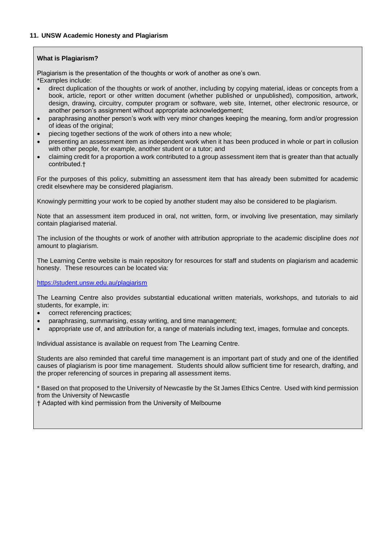## **What is Plagiarism?**

Plagiarism is the presentation of the thoughts or work of another as one's own.

- \*Examples include:
- direct duplication of the thoughts or work of another, including by copying material, ideas or concepts from a book, article, report or other written document (whether published or unpublished), composition, artwork, design, drawing, circuitry, computer program or software, web site, Internet, other electronic resource, or another person's assignment without appropriate acknowledgement;
- paraphrasing another person's work with very minor changes keeping the meaning, form and/or progression of ideas of the original;
- piecing together sections of the work of others into a new whole;
- presenting an assessment item as independent work when it has been produced in whole or part in collusion with other people, for example, another student or a tutor; and
- claiming credit for a proportion a work contributed to a group assessment item that is greater than that actually contributed.†

For the purposes of this policy, submitting an assessment item that has already been submitted for academic credit elsewhere may be considered plagiarism.

Knowingly permitting your work to be copied by another student may also be considered to be plagiarism.

Note that an assessment item produced in oral, not written, form, or involving live presentation, may similarly contain plagiarised material.

The inclusion of the thoughts or work of another with attribution appropriate to the academic discipline does *not*  amount to plagiarism.

The Learning Centre website is main repository for resources for staff and students on plagiarism and academic honesty. These resources can be located via:

<https://student.unsw.edu.au/plagiarism>

The Learning Centre also provides substantial educational written materials, workshops, and tutorials to aid students, for example, in:

- correct referencing practices;
- paraphrasing, summarising, essay writing, and time management;
- appropriate use of, and attribution for, a range of materials including text, images, formulae and concepts.

Individual assistance is available on request from The Learning Centre.

Students are also reminded that careful time management is an important part of study and one of the identified causes of plagiarism is poor time management. Students should allow sufficient time for research, drafting, and the proper referencing of sources in preparing all assessment items.

\* Based on that proposed to the University of Newcastle by the St James Ethics Centre. Used with kind permission from the University of Newcastle

† Adapted with kind permission from the University of Melbourne